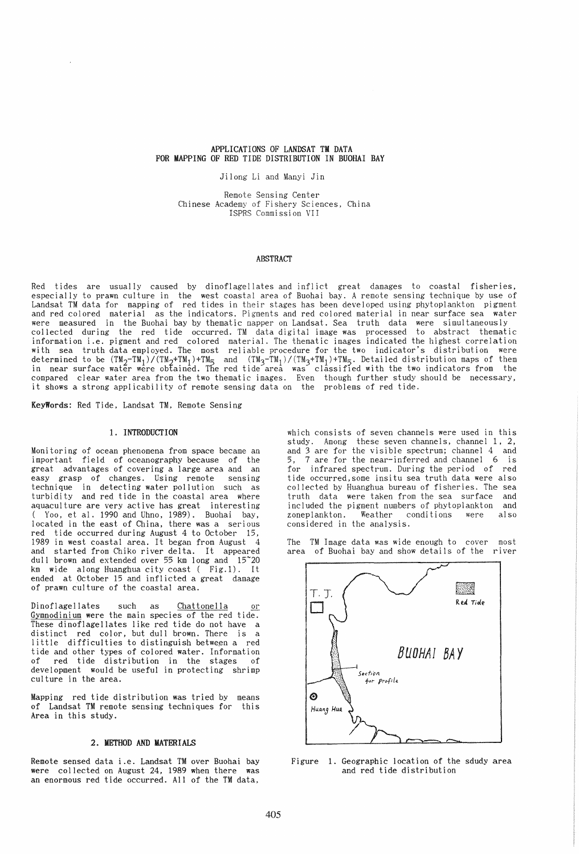# APPLICATIONS OF LANDSAT TM DATA FOR MAPPING OF RED TIDE DISTRIBUTION IN BUOHAI BAY

Jilong Li and Manyi Jin

Remote Sensing Center Chinese Academy of Fishery Sciences, China ISPRS Commission VII

### ABSTRACT

Red tides are usually caused by dinoflagellates and inflict great damages to coastal fisheries, especially to prawn culture in the west coastal area of Buohai bay. A remote sensing technique by use of Landsat TM data for mapping of red tides in their stages has been developed using phytoplankton pigment and red colored material as the indicators. Pigments and red colored material in near surface sea water were measured in the Buohai bay by thematic mapper on Landsat. Sea truth data were simultaneously collected during the red tide occurred. TM data digital image was processed to abstract thematic information i.e. pigment and red colored material. The thematic images indicated the highest correlation with sea truth data employed. The most reliable procedure for the two indicator's distribution were determined to be  $(\texttt{TM}_2-\texttt{TM}_1)/(\texttt{TM}_2+\texttt{TM}_1)+\texttt{TM}_5$  and  $(\texttt{TM}_3-\texttt{TM}_1)/(\texttt{TM}_3+\texttt{TM}_1)+\texttt{TM}_5$ . Detailed distribution maps of them in near surface water were obtained. The red tide area was classifIed with the two indicators from the compared clear water area from the two thematic images. Even though further study should be necessary, it shows a strong applicability of remote sensing data on the problems of red tide.

KeyWords: Red Tide, Landsat TM, Remote Sensing

### 1. INTRODUCTION

Monitoring of ocean phenomena from space became an important field of oceanography because of the great advantages of covering a large area and an easy grasp of changes. Using remote sensing technique in detecting water pollution such as turbidity and red tide in the coastal area where aquaculture are very active has great interesting ( Yoo, et al. 1990 and Uhno, 1989). Buohai bay, located in the east of China, there was a serious red tide occurred during August 4 to October 15, 1989 in west coastal area. It began from August 4 and started from Chiko river delta. It appeared dull brown and extended over 55 km long and 15~20 km wide along Huanghua city coast ( Fig.l). It ended at October 15 and inflicted a great damage of prawn culture of the coastal area.

Dinoflagellates such as <u>Chattonella or</u><br><u>Gymnodinium</u> were the main species of the red tide. These dinoflagellates like red tide do not have a distinct red color, but dull brown. There is a little difficulties to distinguish between a red tide and other types of colored water. Information of red tide distribution in the stages of development would be useful in protecting shrimp culture in the area.

Mapping red tide distribution was tried by means of Landsat TM remote sensing techniques for this Area in this study,

# 2. METHOD AND MATERIALS

Remote sensed data i.e. Landsat TM over Buohai bay were collected on August 24, 1989 when there was an enormous red tide occurred. All of the TM data,

which consists of seven channels were used in this study. Among these seven channels, channel  $1$ ,  $2$ , and 3 are for the visible spectrum; channel 4 and 5, 7 are for the near-inferred and channel 6 is 7 are for the near-inferred and channel 6 is for infrared spectrum. During the period of red tide occurred, some insitu sea truth data were also<br>collected by Huanghua bureau of fisheries. The sea truth data were taken from the sea surface and included the pigment numbers of phytoplankton and<br>zoneplankton. Weather conditions were also Weather conditions were also considered in the analysis.

The TM Image data was wide enough to cover most area of Buohai bay and show details of the river



Figure 1. Geographic location of the sdudy area and red tide distribution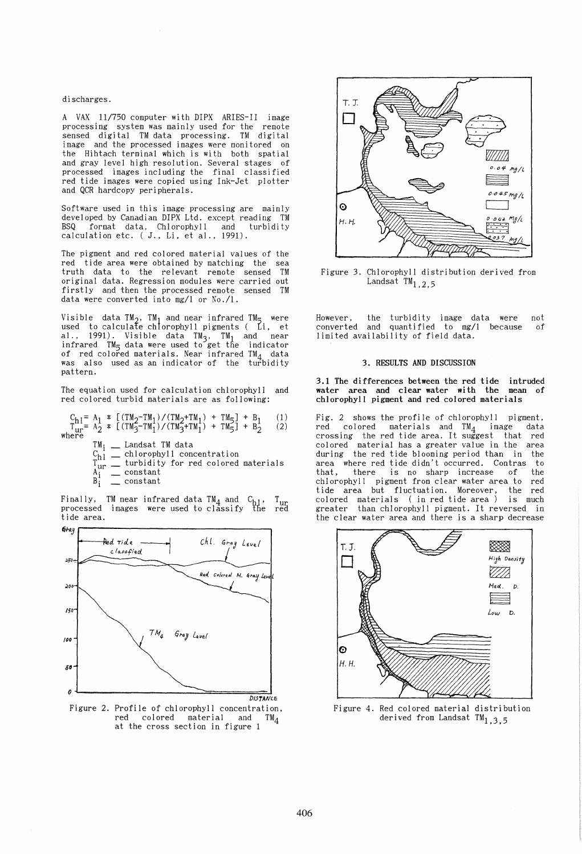#### discharges.

A VAX 11/750 computer with DIPX ARIES-II image processing system was mainly used for the remote sensed digital TM data processing. TM digital<br>image and the processed images were monitored on the Hihtach terminal which is with both spatial and gray level high resolution. Several stages of processed images including the final classified red tide images were copied using Ink-Jet plotter and QCR hardcopy peripherals.

Software used in this image processing are mainly developed by Canadian DIPX Ltd. except reading TM BSQ format data, Chlorophyll and turbidity calculation etc. ( J., Li, et al., 1991).

The pigment and red colored material values of the red tide area were obtained by matching the sea truth data to the relevant remote sensed TM original data. Regression modules were carried out firstly and then the processed remote sensed TM data were converted into mg/l or No./1.

Visible data TM<sub>2</sub>, TM<sub>1</sub> and near infrared TM<sub>5</sub> were<br>used to calculate chlorophyll pigments ( Li, et al., 1991). Visible data TM<sub>3</sub>, TM<sub>1</sub> and near infrared TM<sub>5</sub> data were used to get the indicator of red colored materials. Near infrared TM<sub>4</sub> data<br>was also used as an indicator of the turbidity pattern.

The equation used for calculation chlorophyll and red colored turbid materials are as following:

 $C_{\rm rh1} = A_1 * [(TM_2 - TM_1)/(TM_2 + TM_1) + TM_2] + B_1$  (1)  $T_{\text{ur}} = A_2 * [(T M_3 - T M_1) / (T M_3 + T M_1) + T M_5] + B_2$  (2)<br>where

- $TM_i$  \_\_ Landsat TM data  $C_{h1}$   $\overline{\phantom{a}}$  chlorophyll concentration
- 
- $T_{\text{ur}}^{\text{m}}$  = turbidity for red colored materials  $A_i^{\alpha i}$   $\qquad$  constant
- $B_i^{\dagger}$  <u>constant</u>

Finally, TM near infrared data TM4 and *Ch1 ,* Tur processed images were used to classify the red<br>tide area.



Figure 2. Profile of chlorophyll concentration, red colored material and TM4 at the cross section in figure 1



Figure 3. Chlorophyll distribution derived from Landsat  $TM_{1,2,5}$ 

However, the turbidity image data were not converted and quantified to mg/l because of limited availability of field data.

### 3. RESULTS AND DISCUSSION

3.1 The differences between the red tide intruded water area and clear water with the mean of chlorophyll pigment and red colored materials

Fig. 2 shows the profile of chlorophyll pigment, red colored materials and TM4 image data crossing the red tide area. It suggest that red colored material has a greater value in the area<br>during the red tide blooming period than in the<br>area where red tide didn't occurred. Contras to<br>that. there is no sharp increase of the there is no sharp increase chlorophyll pigment from clear water area to red tide area but fluctuation. Moreover, colored materials (in red tide area) is much greater than chlorophyll pigment. It reversed in the clear water area and there is a sharp decrease



Figure 4. Red colored material distribution derived from Landsat  $TM_{1,3,5}$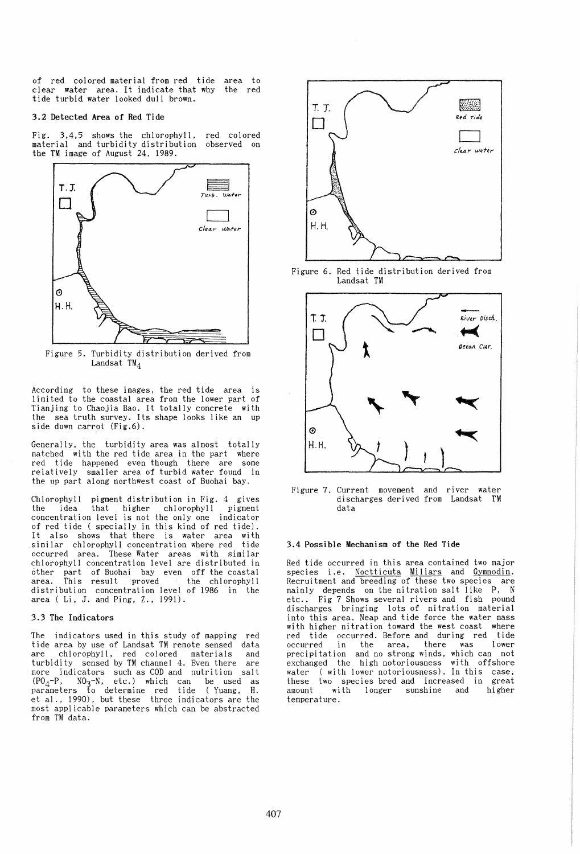of red colored material from red tide area to clear water area. It indicate that why the red tide turbid water looked dull brown.

#### 3.2 Detected Area of Red Tide

Fig. 3,4,5 shows the chlorophyll, red colored material and turbidity distribution observed on the TM image of August 24, 1989.



Figure 5. Turbidity distribution derived from Landsat  $TM_4$ 

According to these images, the red tide area is limited to the coastal area from the lower part of Tianjing to Chaojia Bao. It totally concrete with the sea truth survey. Its shape looks like an up side down carrot (Fig.6).

Generally, the turbidity area was almost totally matched with the red tide area in the part where red tide happened even though there are some relatively smaller area of turbid water found in the up part along northwest coast of Buohai bay.

Chlorophyll pigment distribution in Fig. 4 gives the idea that higher chlorophyll pigment concentration level is not the only one indicator of red tide ( specially in this kind of red tide). It also shows that there is water area with similar chlorophyll concentration where red tide occurred area. These Water areas with similar chlorophyll concentration level are distributed in other part of Buohai bay even off the coastal area. This result proved the chlorophyll distribution concentration level of 1986 in the area ( Li, J. and Ping, Z., 1991).

# 3.3 The Indicators

The indicators used in this study of mapping red<br>tide area by use of Landsat TM remote sensed data are chlorophyll, red colored materials and turbidity sensed by TM channel 4. Even there are turbidity sensed by TM channel 4. Even there are more indicators such as COD and nutrition salt  $(PO<sub>4</sub>-P, NO<sub>3</sub>-N, etc.)$  which can be used as parameters to determine red tide (Yuang, H. et al., 1990), but these three indicators are the most applicable parameters which can be abstracted from TM data.



Figure 6. Red tide distribution derived from Landsat TM



Figure 7. Current movement and river water discharges derived from Landsat TM data

# 3.4 Possible Mechanism of the Red Tide

Red tide occurred in this area contained two major species i.e. Noctticuta Miliars and Gymnodin. Recruitment and breeding of these two species are<br>mainly depends on the nitration salt like P, N etc.. Fig 7 Shows several rivers and fish pound discharges bringing lots of nitration material into this area. Neap and tide force the water mass with higher nitration toward the west coast where red tide occurred. Before and during red tide occurred in the area, there was lower precipitation and no strong winds, which can not exchanged the high notoriousness with offshore water (with lower notoriousness). In this case, these two species bred and increased in great<br>amount with longer sunshine and higher with longer sunshine and higher temperature.